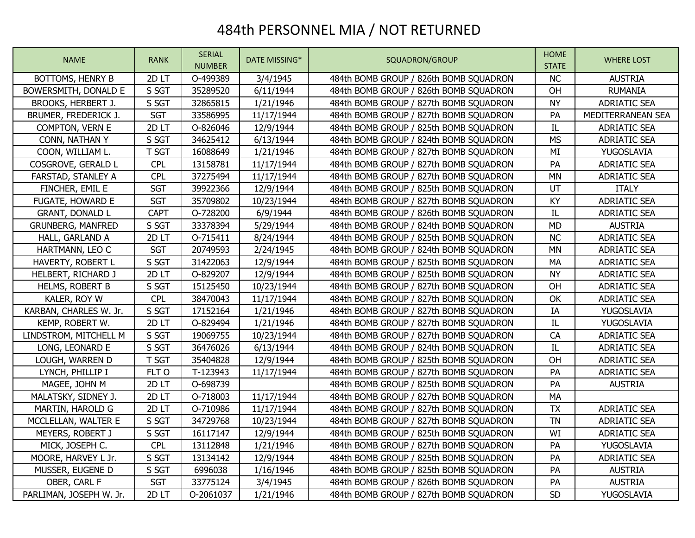## 484th PERSONNEL MIA / NOT RETURNED

| <b>NAME</b>              | <b>RANK</b> | <b>SERIAL</b><br><b>NUMBER</b> | DATE MISSING* | SQUADRON/GROUP                         | <b>HOME</b><br><b>STATE</b> | <b>WHERE LOST</b>   |
|--------------------------|-------------|--------------------------------|---------------|----------------------------------------|-----------------------------|---------------------|
| BOTTOMS, HENRY B         | 2DLT        | O-499389                       | 3/4/1945      | 484th BOMB GROUP / 826th BOMB SQUADRON | NC                          | <b>AUSTRIA</b>      |
| BOWERSMITH, DONALD E     | S SGT       | 35289520                       | 6/11/1944     | 484th BOMB GROUP / 826th BOMB SQUADRON | OH                          | <b>RUMANIA</b>      |
| BROOKS, HERBERT J.       | S SGT       | 32865815                       | 1/21/1946     | 484th BOMB GROUP / 827th BOMB SQUADRON | <b>NY</b>                   | <b>ADRIATIC SEA</b> |
| BRUMER, FREDERICK J.     | <b>SGT</b>  | 33586995                       | 11/17/1944    | 484th BOMB GROUP / 827th BOMB SQUADRON | PA                          | MEDITERRANEAN SEA   |
| COMPTON, VERN E          | 2D LT       | O-826046                       | 12/9/1944     | 484th BOMB GROUP / 825th BOMB SQUADRON | IL                          | <b>ADRIATIC SEA</b> |
| CONN, NATHAN Y           | S SGT       | 34625412                       | 6/13/1944     | 484th BOMB GROUP / 824th BOMB SQUADRON | <b>MS</b>                   | <b>ADRIATIC SEA</b> |
| COON, WILLIAM L.         | T SGT       | 16088649                       | 1/21/1946     | 484th BOMB GROUP / 827th BOMB SQUADRON | MI                          | YUGOSLAVIA          |
| COSGROVE, GERALD L       | <b>CPL</b>  | 13158781                       | 11/17/1944    | 484th BOMB GROUP / 827th BOMB SQUADRON | PA                          | <b>ADRIATIC SEA</b> |
| FARSTAD, STANLEY A       | <b>CPL</b>  | 37275494                       | 11/17/1944    | 484th BOMB GROUP / 827th BOMB SQUADRON | <b>MN</b>                   | <b>ADRIATIC SEA</b> |
| FINCHER, EMIL E          | <b>SGT</b>  | 39922366                       | 12/9/1944     | 484th BOMB GROUP / 825th BOMB SQUADRON | UT                          | <b>ITALY</b>        |
| <b>FUGATE, HOWARD E</b>  | <b>SGT</b>  | 35709802                       | 10/23/1944    | 484th BOMB GROUP / 827th BOMB SQUADRON | KY                          | <b>ADRIATIC SEA</b> |
| <b>GRANT, DONALD L</b>   | <b>CAPT</b> | O-728200                       | 6/9/1944      | 484th BOMB GROUP / 826th BOMB SQUADRON | IL                          | <b>ADRIATIC SEA</b> |
| <b>GRUNBERG, MANFRED</b> | S SGT       | 33378394                       | 5/29/1944     | 484th BOMB GROUP / 824th BOMB SQUADRON | <b>MD</b>                   | <b>AUSTRIA</b>      |
| HALL, GARLAND A          | 2DLT        | O-715411                       | 8/24/1944     | 484th BOMB GROUP / 825th BOMB SQUADRON | <b>NC</b>                   | <b>ADRIATIC SEA</b> |
| HARTMANN, LEO C          | <b>SGT</b>  | 20749593                       | 2/24/1945     | 484th BOMB GROUP / 824th BOMB SQUADRON | <b>MN</b>                   | <b>ADRIATIC SEA</b> |
| HAVERTY, ROBERT L        | S SGT       | 31422063                       | 12/9/1944     | 484th BOMB GROUP / 825th BOMB SQUADRON | MA                          | <b>ADRIATIC SEA</b> |
| HELBERT, RICHARD J       | 2D LT       | O-829207                       | 12/9/1944     | 484th BOMB GROUP / 825th BOMB SQUADRON | <b>NY</b>                   | <b>ADRIATIC SEA</b> |
| HELMS, ROBERT B          | S SGT       | 15125450                       | 10/23/1944    | 484th BOMB GROUP / 827th BOMB SQUADRON | OH                          | <b>ADRIATIC SEA</b> |
| KALER, ROY W             | <b>CPL</b>  | 38470043                       | 11/17/1944    | 484th BOMB GROUP / 827th BOMB SQUADRON | OK                          | <b>ADRIATIC SEA</b> |
| KARBAN, CHARLES W. Jr.   | S SGT       | 17152164                       | 1/21/1946     | 484th BOMB GROUP / 827th BOMB SQUADRON | IA                          | YUGOSLAVIA          |
| KEMP, ROBERT W.          | 2DLT        | O-829494                       | 1/21/1946     | 484th BOMB GROUP / 827th BOMB SQUADRON | IL                          | YUGOSLAVIA          |
| LINDSTROM, MITCHELL M    | S SGT       | 19069755                       | 10/23/1944    | 484th BOMB GROUP / 827th BOMB SQUADRON | CA                          | <b>ADRIATIC SEA</b> |
| LONG, LEONARD E          | S SGT       | 36476026                       | 6/13/1944     | 484th BOMB GROUP / 824th BOMB SQUADRON | IL                          | <b>ADRIATIC SEA</b> |
| LOUGH, WARREN D          | T SGT       | 35404828                       | 12/9/1944     | 484th BOMB GROUP / 825th BOMB SQUADRON | OH                          | <b>ADRIATIC SEA</b> |
| LYNCH, PHILLIP I         | FLT O       | T-123943                       | 11/17/1944    | 484th BOMB GROUP / 827th BOMB SQUADRON | PA                          | <b>ADRIATIC SEA</b> |
| MAGEE, JOHN M            | 2DLT        | O-698739                       |               | 484th BOMB GROUP / 825th BOMB SQUADRON | PA                          | <b>AUSTRIA</b>      |
| MALATSKY, SIDNEY J.      | 2DLT        | O-718003                       | 11/17/1944    | 484th BOMB GROUP / 827th BOMB SQUADRON | MA                          |                     |
| MARTIN, HAROLD G         | 2DLT        | O-710986                       | 11/17/1944    | 484th BOMB GROUP / 827th BOMB SQUADRON | <b>TX</b>                   | <b>ADRIATIC SEA</b> |
| MCCLELLAN, WALTER E      | S SGT       | 34729768                       | 10/23/1944    | 484th BOMB GROUP / 827th BOMB SQUADRON | <b>TN</b>                   | <b>ADRIATIC SEA</b> |
| MEYERS, ROBERT J         | S SGT       | 16117147                       | 12/9/1944     | 484th BOMB GROUP / 825th BOMB SQUADRON | WI                          | <b>ADRIATIC SEA</b> |
| MICK, JOSEPH C.          | <b>CPL</b>  | 13112848                       | 1/21/1946     | 484th BOMB GROUP / 827th BOMB SQUADRON | PA                          | YUGOSLAVIA          |
| MOORE, HARVEY L Jr.      | S SGT       | 13134142                       | 12/9/1944     | 484th BOMB GROUP / 825th BOMB SQUADRON | PA                          | <b>ADRIATIC SEA</b> |
| MUSSER, EUGENE D         | S SGT       | 6996038                        | 1/16/1946     | 484th BOMB GROUP / 825th BOMB SQUADRON | PA                          | <b>AUSTRIA</b>      |
| OBER, CARL F             | <b>SGT</b>  | 33775124                       | 3/4/1945      | 484th BOMB GROUP / 826th BOMB SQUADRON | PA                          | <b>AUSTRIA</b>      |
| PARLIMAN, JOSEPH W. Jr.  | 2DLT        | O-2061037                      | 1/21/1946     | 484th BOMB GROUP / 827th BOMB SQUADRON | SD                          | YUGOSLAVIA          |